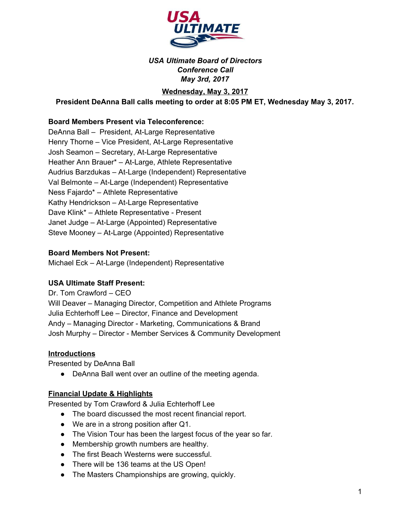

# *USA Ultimate Board of Directors Conference Call May 3rd, 2017*

# **Wednesday, May 3, 2017**

# **President DeAnna Ball calls meeting to order at 8:05 PM ET, Wednesday May 3, 2017.**

## **Board Members Present via Teleconference:**

DeAnna Ball – President, At-Large Representative Henry Thorne – Vice President, At-Large Representative Josh Seamon – Secretary, At-Large Representative Heather Ann Brauer\* – At-Large, Athlete Representative Audrius Barzdukas – At-Large (Independent) Representative Val Belmonte – At-Large (Independent) Representative Ness Fajardo\* – Athlete Representative Kathy Hendrickson – At-Large Representative Dave Klink\* – Athlete Representative - Present Janet Judge – At-Large (Appointed) Representative Steve Mooney – At-Large (Appointed) Representative

## **Board Members Not Present:**

Michael Eck – At-Large (Independent) Representative

## **USA Ultimate Staff Present:**

Dr. Tom Crawford – CEO Will Deaver – Managing Director, Competition and Athlete Programs Julia Echterhoff Lee – Director, Finance and Development Andy – Managing Director - Marketing, Communications & Brand Josh Murphy – Director - Member Services & Community Development

## **Introductions**

Presented by DeAnna Ball

• DeAnna Ball went over an outline of the meeting agenda.

#### **Financial Update & Highlights**

Presented by Tom Crawford & Julia Echterhoff Lee

- The board discussed the most recent financial report.
- We are in a strong position after Q1.
- The Vision Tour has been the largest focus of the year so far.
- Membership growth numbers are healthy.
- The first Beach Westerns were successful.
- There will be 136 teams at the US Open!
- The Masters Championships are growing, quickly.